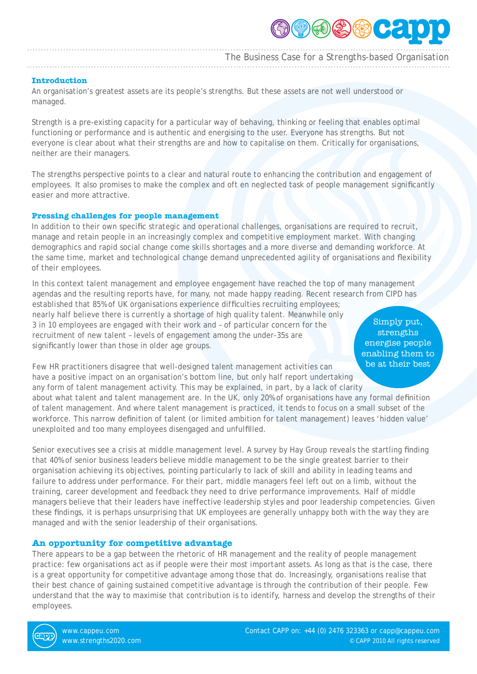

The Business Case for a Strengths-based Organisation

## **Introduction**

An organisation's greatest assets are its people's strengths. But these assets are not well understood or managed.

Strength is a pre-existing capacity for a particular way of behaving, thinking or feeling that enables optimal functioning or performance and is authentic and energising to the user. Everyone has strengths. But not everyone is clear about what their strengths are and how to capitalise on them. Critically for organisations, neither are their managers.

The strengths perspective points to a clear and natural route to enhancing the contribution and engagement of employees. It also promises to make the complex and oft en neglected task of people management significantly easier and more attractive.

## **Pressing challenges for people management**

In addition to their own specific strategic and operational challenges, organisations are required to recruit, manage and retain people in an increasingly complex and competitive employment market. With changing demographics and rapid social change come skills shortages and a more diverse and demanding workforce. At the same time, market and technological change demand unprecedented agility of organisations and flexibility of their employees.

In this context talent management and employee engagement have reached the top of many management agendas and the resulting reports have, for many, not made happy reading. Recent research from CIPD has established that 85% of UK organisations experience difficulties recruiting employees;

nearly half believe there is currently a shortage of high quality talent. Meanwhile only 3 in 10 employees are engaged with their work and – of particular concern for the recruitment of new talent – levels of engagement among the under-35s are significantly lower than those in older age groups.

Simply put, strengths energise people enabling them to be at their best

Few HR practitioners disagree that well-designed talent management activities can have a positive impact on an organisation's bottom line, but only half report undertaking any form of talent management activity. This may be explained, in part, by a lack of clarity

about what talent and talent management are. In the UK, only 20% of organisations have any formal definition of talent management. And where talent management is practiced, it tends to focus on a small subset of the workforce. This narrow definition of talent (or limited ambition for talent management) leaves 'hidden value' unexploited and too many employees disengaged and unfulfilled.

Senior executives see a crisis at middle management level. A survey by Hay Group reveals the startling finding that 40% of senior business leaders believe middle management to be the single greatest barrier to their organisation achieving its objectives, pointing particularly to lack of skill and ability in leading teams and failure to address under performance. For their part, middle managers feel left out on a limb, without the training, career development and feedback they need to drive performance improvements. Half of middle managers believe that their leaders have ineffective leadership styles and poor leadership competencies. Given these findings, it is perhaps unsurprising that UK employees are generally unhappy both with the way they are managed and with the senior leadership of their organisations.

## **An opportunity for competitive advantage**

There appears to be a gap between the rhetoric of HR management and the reality of people management practice: few organisations act as if people were their most important assets. As long as that is the case, there is a great opportunity for competitive advantage among those that do. Increasingly, organisations realise that their best chance of gaining sustained competitive advantage is through the contribution of their people. Few understand that the way to maximise that contribution is to identify, harness and develop the strengths of their employees.